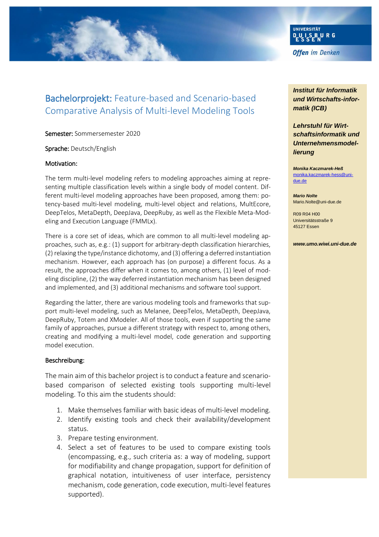

# Bachelorprojekt: Feature-based and Scenario-based Comparative Analysis of Multi-level Modeling Tools

Semester: Sommersemester 2020

Sprache: Deutsch/English

#### Motivation:

The term multi-level modeling refers to modeling approaches aiming at representing multiple classification levels within a single body of model content. Different multi-level modeling approaches have been proposed, among them: potency-based multi-level modeling, multi-level object and relations, MultEcore, DeepTelos, MetaDepth, DeepJava, DeepRuby, as well as the Flexible Meta-Modeling and Execution Language (FMMLx).

There is a core set of ideas, which are common to all multi-level modeling approaches, such as, e.g.: (1) support for arbitrary-depth classification hierarchies, (2) relaxing the type/instance dichotomy, and (3) offering a deferred instantiation mechanism. However, each approach has (on purpose) a different focus. As a result, the approaches differ when it comes to, among others, (1) level of modeling discipline, (2) the way deferred instantiation mechanism has been designed and implemented, and (3) additional mechanisms and software tool support.

Regarding the latter, there are various modeling tools and frameworks that support multi-level modeling, such as Melanee, DeepTelos, MetaDepth, DeepJava, DeepRuby, Totem and XModeler. All of those tools, even if supporting the same family of approaches, pursue a different strategy with respect to, among others, creating and modifying a multi-level model, code generation and supporting model execution.

#### Beschreibung:

The main aim of this bachelor project is to conduct a feature and scenariobased comparison of selected existing tools supporting multi-level modeling. To this aim the students should:

- 1. Make themselves familiar with basic ideas of multi-level modeling.
- 2. Identify existing tools and check their availability/development status.
- 3. Prepare testing environment.
- 4. Select a set of features to be used to compare existing tools (encompassing, e.g., such criteria as: a way of modeling, support for modifiability and change propagation, support for definition of graphical notation, intuitiveness of user interface, persistency mechanism, code generation, code execution, multi-level features supported).

*Institut für Informatik und Wirtschafts-informatik (ICB)*

*Lehrstuhl für Wirtschaftsinformatik und Unternehmensmodellierung*

*Monika Kaczmarek-Heß* [monika.kaczmarek-hess@uni](mailto:monika.kaczmarek-hess@uni-due.de)[due.de](mailto:monika.kaczmarek-hess@uni-due.de)

*Mario Nolte* Mario.Nolte@uni-due.de

R09 R04 H00 Universitätsstraße 9 45127 Essen

*www.umo.wiwi.uni-due.de*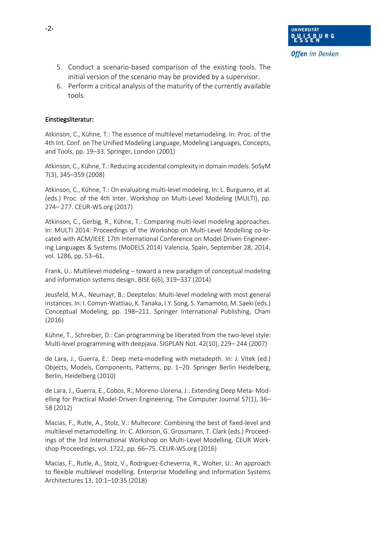- 5. Conduct a scenario-based comparison of the existing tools. The initial version of the scenario may be provided by a supervisor.
- 6. Perform a critical analysis of the maturity of the currently available tools.

## Einstiegsliteratur:

Atkinson, C., Kühne, T.: The essence of multilevel metamodeling. In: Proc. of the 4th Int. Conf. on The Unified Modeling Language, Modeling Languages, Concepts, and Tools, pp. 19–33. Springer, London (2001)

Atkinson, C., Kühne, T.: Reducing accidental complexity in domain models. SoSyM 7(3), 345–359 (2008)

Atkinson, C., Kühne, T.: On evaluating multi-level modeling. In: L. Burgueno, et al. (eds.) Proc. of the 4th Inter. Workshop on Multi-Level Modeling (MULTI), pp. 274– 277. CEUR-WS.org (2017)

Atkinson, C., Gerbig, R., Kühne, T.: Comparing multi-level modeling approaches. In: MULTI 2014: Proceedings of the Workshop on Multi-Level Modelling co-located with ACM/IEEE 17th International Conference on Model Driven Engineering Languages & Systems (MoDELS 2014) Valencia, Spain, September 28, 2014, vol. 1286, pp. 53–61.

Frank, U.: Multilevel modeling – toward a new paradigm of conceptual modeling and information systems design. BISE 6(6), 319–337 (2014)

Jeusfeld, M.A., Neumayr, B.: Deeptelos: Multi-level modeling with most general instances. In: I. Comyn-Wattiau, K. Tanaka, I.Y. Song, S. Yamamoto, M. Saeki (eds.) Conceptual Modeling, pp. 198–211. Springer International Publishing, Cham (2016)

Kühne, T., Schreiber, D.: Can programming be liberated from the two-level style: Multi-level programming with deepjava. SIGPLAN Not. 42(10), 229– 244 (2007)

de Lara, J., Guerra, E.: Deep meta-modelling with metadepth. In: J. Vitek (ed.) Objects, Models, Components, Patterns, pp. 1–20. Springer Berlin Heidelberg, Berlin, Heidelberg (2010)

de Lara, J., Guerra, E., Cobos, R., Moreno-Llorena, J.: Extending Deep Meta- Modelling for Practical Model-Driven Engineering. The Computer Journal 57(1), 36– 58 (2012)

Macias, F., Rutle, A., Stolz, V.: Multecore: Combining the best of fixed-level and multilevel metamodelling. In: C. Atkinson, G. Grossmann, T. Clark (eds.) Proceedings of the 3rd International Workshop on Multi-Level Modelling, CEUR Workshop Proceedings, vol. 1722, pp. 66–75. CEUR-WS.org (2016)

Macias, F., Rutle, A., Stolz, V., Rodriguez-Echeverria, R., Wolter, U.: An approach to flexible multilevel modelling. Enterprise Modelling and Information Systems Architectures 13, 10:1–10:35 (2018)